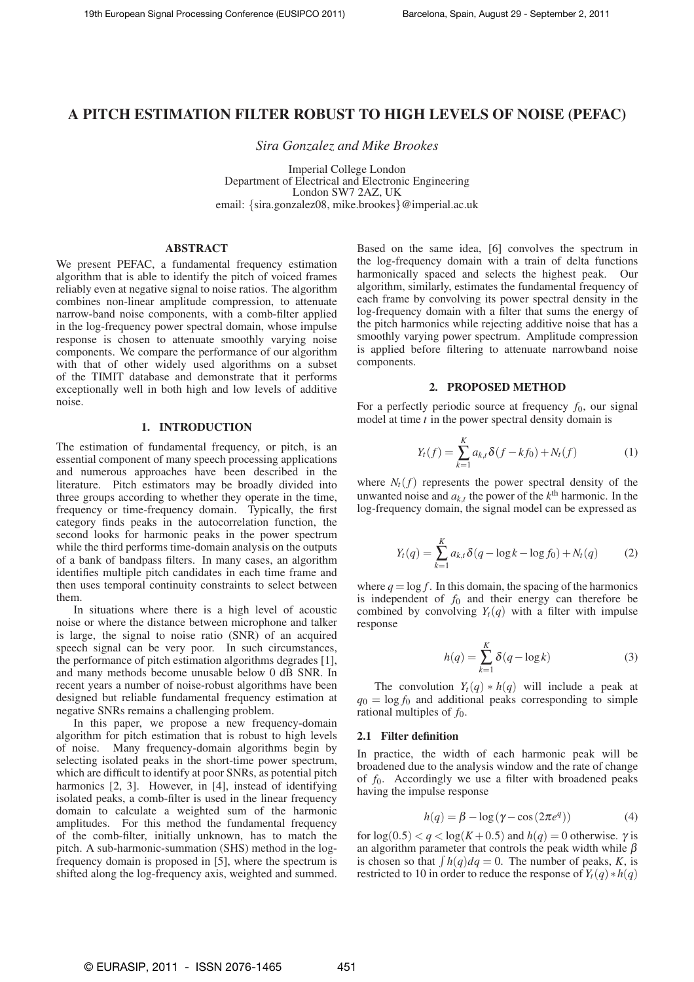# **A PITCH ESTIMATION FILTER ROBUST TO HIGH LEVELS OF NOISE (PEFAC)**

*Sira Gonzalez and Mike Brookes*

Imperial College London Department of Electrical and Electronic Engineering London SW7 2AZ, UK email: {sira.gonzalez08, mike.brookes}@imperial.ac.uk

## **ABSTRACT**

We present PEFAC, a fundamental frequency estimation algorithm that is able to identify the pitch of voiced frames reliably even at negative signal to noise ratios. The algorithm combines non-linear amplitude compression, to attenuate narrow-band noise components, with a comb-filter applied in the log-frequency power spectral domain, whose impulse response is chosen to attenuate smoothly varying noise components. We compare the performance of our algorithm with that of other widely used algorithms on a subset of the TIMIT database and demonstrate that it performs exceptionally well in both high and low levels of additive noise.

## **1. INTRODUCTION**

The estimation of fundamental frequency, or pitch, is an essential component of many speech processing applications and numerous approaches have been described in the literature. Pitch estimators may be broadly divided into three groups according to whether they operate in the time, frequency or time-frequency domain. Typically, the first category finds peaks in the autocorrelation function, the second looks for harmonic peaks in the power spectrum while the third performs time-domain analysis on the outputs of a bank of bandpass filters. In many cases, an algorithm identifies multiple pitch candidates in each time frame and then uses temporal continuity constraints to select between them.

In situations where there is a high level of acoustic noise or where the distance between microphone and talker is large, the signal to noise ratio (SNR) of an acquired speech signal can be very poor. In such circumstances, the performance of pitch estimation algorithms degrades [1], and many methods become unusable below 0 dB SNR. In recent years a number of noise-robust algorithms have been designed but reliable fundamental frequency estimation at negative SNRs remains a challenging problem.

In this paper, we propose a new frequency-domain algorithm for pitch estimation that is robust to high levels of noise. Many frequency-domain algorithms begin by selecting isolated peaks in the short-time power spectrum, which are difficult to identify at poor SNRs, as potential pitch harmonics [2, 3]. However, in [4], instead of identifying isolated peaks, a comb-filter is used in the linear frequency domain to calculate a weighted sum of the harmonic amplitudes. For this method the fundamental frequency of the comb-filter, initially unknown, has to match the pitch. A sub-harmonic-summation (SHS) method in the logfrequency domain is proposed in [5], where the spectrum is shifted along the log-frequency axis, weighted and summed. Based on the same idea, [6] convolves the spectrum in the log-frequency domain with a train of delta functions harmonically spaced and selects the highest peak. Our algorithm, similarly, estimates the fundamental frequency of each frame by convolving its power spectral density in the log-frequency domain with a filter that sums the energy of the pitch harmonics while rejecting additive noise that has a smoothly varying power spectrum. Amplitude compression is applied before filtering to attenuate narrowband noise components.

## **2. PROPOSED METHOD**

For a perfectly periodic source at frequency  $f_0$ , our signal model at time *t* in the power spectral density domain is

$$
Y_t(f) = \sum_{k=1}^{K} a_{k,t} \delta(f - kf_0) + N_t(f)
$$
 (1)

where  $N_t(f)$  represents the power spectral density of the unwanted noise and  $a_{k,t}$  the power of the  $k^{\text{th}}$  harmonic. In the log-frequency domain, the signal model can be expressed as

$$
Y_t(q) = \sum_{k=1}^{K} a_{k,t} \delta(q - \log k - \log f_0) + N_t(q)
$$
 (2)

where  $q = \log f$ . In this domain, the spacing of the harmonics is independent of  $f_0$  and their energy can therefore be combined by convolving  $Y_t(q)$  with a filter with impulse response

$$
h(q) = \sum_{k=1}^{K} \delta(q - \log k)
$$
 (3)

The convolution  $Y_t(q) * h(q)$  will include a peak at  $q_0 = \log f_0$  and additional peaks corresponding to simple rational multiples of  $f_0$ .

## **2.1 Filter definition**

In practice, the width of each harmonic peak will be broadened due to the analysis window and the rate of change of *f*0. Accordingly we use a filter with broadened peaks having the impulse response

$$
h(q) = \beta - \log(\gamma - \cos(2\pi e^q))
$$
 (4)

for  $log(0.5) < q < log(K + 0.5)$  and  $h(q) = 0$  otherwise.  $\gamma$  is an algorithm parameter that controls the peak width while  $\beta$ is chosen so that  $\int h(q) dq = 0$ . The number of peaks, *K*, is restricted to 10 in order to reduce the response of  $Y_t(q) * h(q)$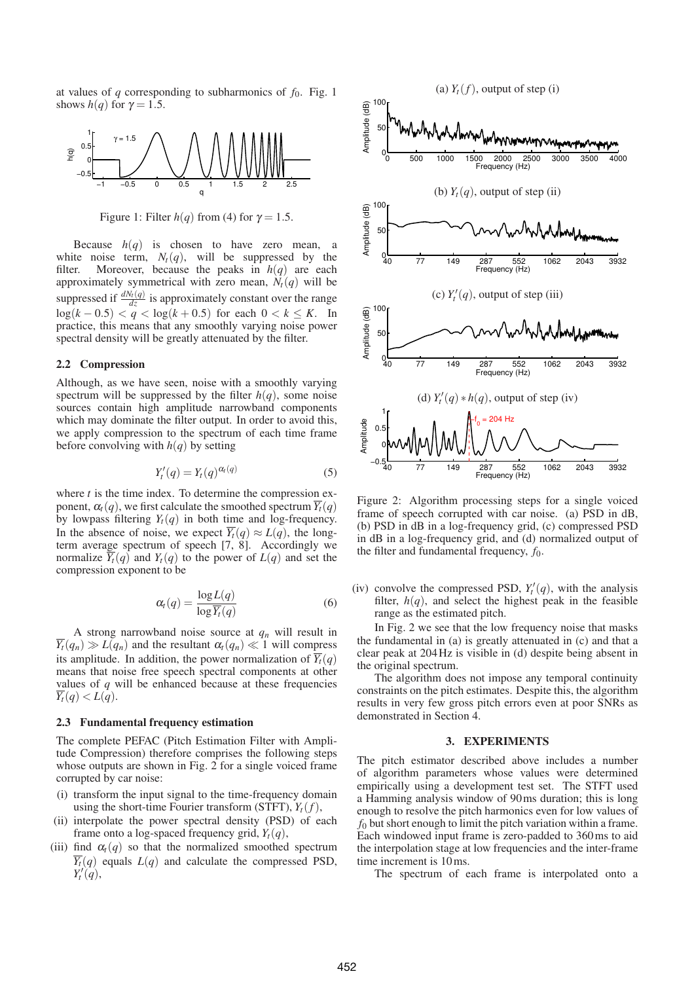at values of  $q$  corresponding to subharmonics of  $f_0$ . Fig. 1 shows  $h(q)$  for  $\gamma = 1.5$ .



Figure 1: Filter  $h(q)$  from (4) for  $\gamma = 1.5$ .

Because  $h(q)$  is chosen to have zero mean, white noise term,  $N_t(q)$ , will be suppressed by the filter. Moreover, because the peaks in  $h(q)$  are each approximately symmetrical with zero mean,  $N_t(q)$  will be suppressed if  $\frac{dN_t(q)}{dz}$  is approximately constant over the range log(*k* − 0.5) < *q* < log(*k* + 0.5) for each 0 < *k* ≤ *K*. In practice, this means that any smoothly varying noise power spectral density will be greatly attenuated by the filter.

#### **2.2 Compression**

Although, as we have seen, noise with a smoothly varying spectrum will be suppressed by the filter  $h(q)$ , some noise sources contain high amplitude narrowband components which may dominate the filter output. In order to avoid this, we apply compression to the spectrum of each time frame before convolving with  $h(q)$  by setting

$$
Y'_t(q) = Y_t(q)^{\alpha_t(q)} \tag{5}
$$

where *t* is the time index. To determine the compression exponent,  $\alpha_t(q)$ , we first calculate the smoothed spectrum  $\overline{Y_t}(q)$ by lowpass filtering  $Y_t(q)$  in both time and log-frequency. In the absence of noise, we expect  $\overline{Y}_t(q) \approx L(q)$ , the longterm average spectrum of speech [7, 8]. Accordingly we normalize  $\overline{Y}_t(q)$  and  $Y_t(q)$  to the power of  $L(q)$  and set the compression exponent to be

$$
\alpha_t(q) = \frac{\log L(q)}{\log \overline{Y}_t(q)}\tag{6}
$$

A strong narrowband noise source at  $q_n$  will result in  $\overline{Y}_t(q_n) \gg L(q_n)$  and the resultant  $\alpha_t(q_n) \ll 1$  will compress its amplitude. In addition, the power normalization of  $\overline{Y}_t(q)$ means that noise free speech spectral components at other values of *q* will be enhanced because at these frequencies  $Y_t(q) < L(q)$ .

#### **2.3 Fundamental frequency estimation**

The complete PEFAC (Pitch Estimation Filter with Amplitude Compression) therefore comprises the following steps whose outputs are shown in Fig. 2 for a single voiced frame corrupted by car noise:

- (i) transform the input signal to the time-frequency domain using the short-time Fourier transform (STFT),  $Y_t(f)$ ,
- (ii) interpolate the power spectral density (PSD) of each frame onto a log-spaced frequency grid,  $Y_t(q)$ ,
- (iii) find  $\alpha_t(q)$  so that the normalized smoothed spectrum  $\overline{Y_t}(q)$  equals  $L(q)$  and calculate the compressed PSD,  $Y'_t(q)$ ,



Figure 2: Algorithm processing steps for a single voiced frame of speech corrupted with car noise. (a) PSD in dB, (b) PSD in dB in a log-frequency grid, (c) compressed PSD in dB in a log-frequency grid, and (d) normalized output of the filter and fundamental frequency,  $f_0$ .

(iv) convolve the compressed PSD,  $Y_t'(q)$ , with the analysis filter,  $h(q)$ , and select the highest peak in the feasible range as the estimated pitch.

In Fig. 2 we see that the low frequency noise that masks the fundamental in (a) is greatly attenuated in (c) and that a clear peak at 204Hz is visible in (d) despite being absent in the original spectrum.

The algorithm does not impose any temporal continuity constraints on the pitch estimates. Despite this, the algorithm results in very few gross pitch errors even at poor SNRs as demonstrated in Section 4.

#### **3. EXPERIMENTS**

The pitch estimator described above includes a number of algorithm parameters whose values were determined empirically using a development test set. The STFT used a Hamming analysis window of 90ms duration; this is long enough to resolve the pitch harmonics even for low values of *f*<sup>0</sup> but short enough to limit the pitch variation within a frame. Each windowed input frame is zero-padded to 360ms to aid the interpolation stage at low frequencies and the inter-frame time increment is 10ms.

The spectrum of each frame is interpolated onto a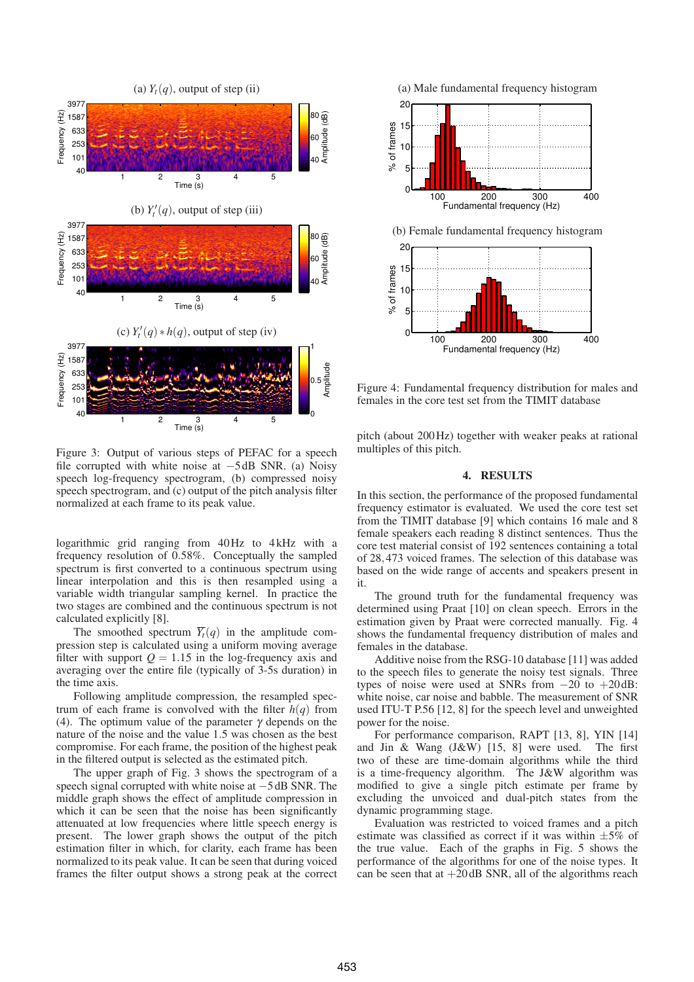

Figure 3: Output of various steps of PEFAC for a speech file corrupted with white noise at −5 dB SNR. (a) Noisy speech log-frequency spectrogram, (b) compressed noisy speech spectrogram, and (c) output of the pitch analysis filter normalized at each frame to its peak value.

logarithmic grid ranging from 40Hz to 4 kHz with a frequency resolution of 0.58%. Conceptually the sampled spectrum is first converted to a continuous spectrum using linear interpolation and this is then resampled using a variable width triangular sampling kernel. In practice the two stages are combined and the continuous spectrum is not calculated explicitly [8].

The smoothed spectrum  $\overline{Y}_t(q)$  in the amplitude compression step is calculated using a uniform moving average filter with support  $Q = 1.15$  in the log-frequency axis and averaging over the entire file (typically of 3-5s duration) in the time axis.

Following amplitude compression, the resampled spectrum of each frame is convolved with the filter  $h(q)$  from (4). The optimum value of the parameter  $\gamma$  depends on the nature of the noise and the value 1.5 was chosen as the best compromise. For each frame, the position of the highest peak in the filtered output is selected as the estimated pitch.

The upper graph of Fig. 3 shows the spectrogram of a speech signal corrupted with white noise at −5 dB SNR. The middle graph shows the effect of amplitude compression in which it can be seen that the noise has been significantly attenuated at low frequencies where little speech energy is present. The lower graph shows the output of the pitch estimation filter in which, for clarity, each frame has been normalized to its peak value. It can be seen that during voiced frames the filter output shows a strong peak at the correct



Figure 4: Fundamental frequency distribution for males and females in the core test set from the TIMIT database

pitch (about 200Hz) together with weaker peaks at rational multiples of this pitch.

#### **4. RESULTS**

In this section, the performance of the proposed fundamental frequency estimator is evaluated. We used the core test set from the TIMIT database [9] which contains 16 male and 8 female speakers each reading 8 distinct sentences. Thus the core test material consist of 192 sentences containing a total of 28,473 voiced frames. The selection of this database was based on the wide range of accents and speakers present in it.

The ground truth for the fundamental frequency was determined using Praat [10] on clean speech. Errors in the estimation given by Praat were corrected manually. Fig. 4 shows the fundamental frequency distribution of males and females in the database.

Additive noise from the RSG-10 database [11] was added to the speech files to generate the noisy test signals. Three types of noise were used at SNRs from  $-20$  to  $+20$  dB: white noise, car noise and babble. The measurement of SNR used ITU-T P.56 [12, 8] for the speech level and unweighted power for the noise.

For performance comparison, RAPT [13, 8], YIN [14] and Jin & Wang (J&W) [15, 8] were used. The first two of these are time-domain algorithms while the third is a time-frequency algorithm. The J&W algorithm was modified to give a single pitch estimate per frame by excluding the unvoiced and dual-pitch states from the dynamic programming stage.

Evaluation was restricted to voiced frames and a pitch estimate was classified as correct if it was within  $\pm 5\%$  of the true value. Each of the graphs in Fig. 5 shows the performance of the algorithms for one of the noise types. It can be seen that at  $+20$  dB SNR, all of the algorithms reach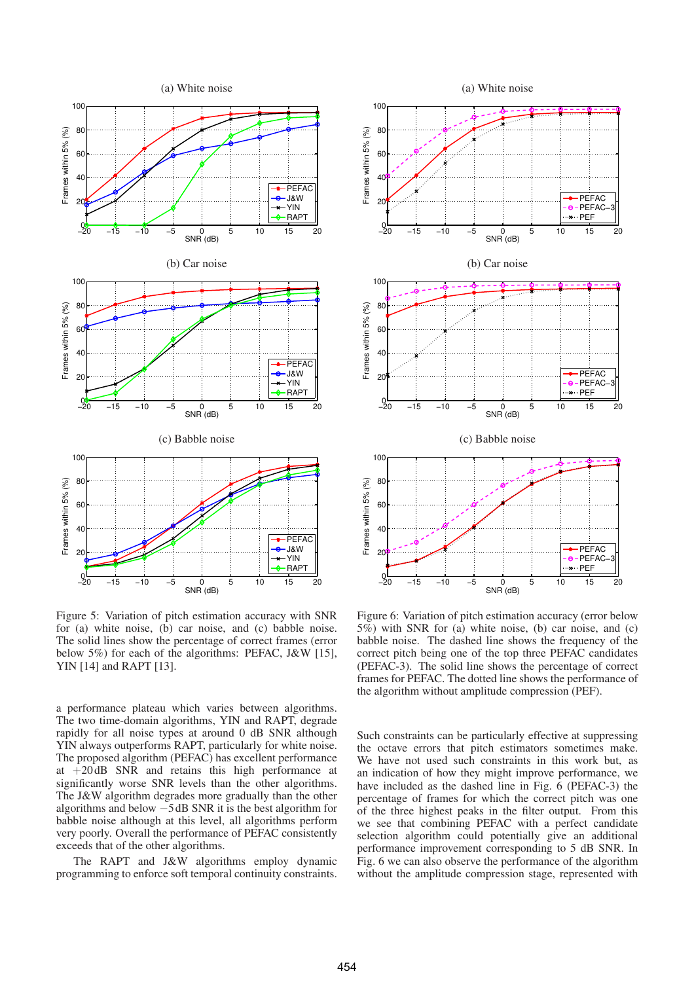

Figure 5: Variation of pitch estimation accuracy with SNR for (a) white noise, (b) car noise, and (c) babble noise. The solid lines show the percentage of correct frames (error below 5%) for each of the algorithms: PEFAC, J&W [15], YIN [14] and RAPT [13].

a performance plateau which varies between algorithms. The two time-domain algorithms, YIN and RAPT, degrade rapidly for all noise types at around 0 dB SNR although YIN always outperforms RAPT, particularly for white noise. The proposed algorithm (PEFAC) has excellent performance at +20 dB SNR and retains this high performance at significantly worse SNR levels than the other algorithms. The J&W algorithm degrades more gradually than the other algorithms and below −5 dB SNR it is the best algorithm for babble noise although at this level, all algorithms perform very poorly. Overall the performance of PEFAC consistently exceeds that of the other algorithms.

The RAPT and J&W algorithms employ dynamic programming to enforce soft temporal continuity constraints.



Figure 6: Variation of pitch estimation accuracy (error below 5%) with SNR for (a) white noise, (b) car noise, and (c) babble noise. The dashed line shows the frequency of the correct pitch being one of the top three PEFAC candidates (PEFAC-3). The solid line shows the percentage of correct frames for PEFAC. The dotted line shows the performance of the algorithm without amplitude compression (PEF).

Such constraints can be particularly effective at suppressing the octave errors that pitch estimators sometimes make. We have not used such constraints in this work but, as an indication of how they might improve performance, we have included as the dashed line in Fig. 6 (PEFAC-3) the percentage of frames for which the correct pitch was one of the three highest peaks in the filter output. From this we see that combining PEFAC with a perfect candidate selection algorithm could potentially give an additional performance improvement corresponding to 5 dB SNR. In Fig. 6 we can also observe the performance of the algorithm without the amplitude compression stage, represented with